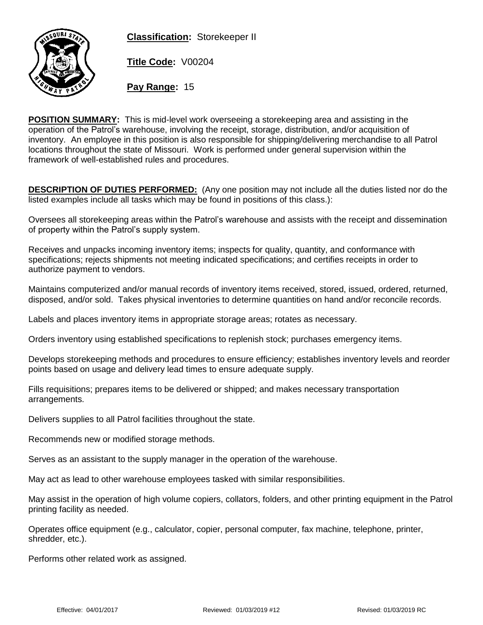**Classification:** Storekeeper II



**Title Code:** V00204

**Pay Range:** 15

**POSITION SUMMARY:** This is mid-level work overseeing a storekeeping area and assisting in the operation of the Patrol's warehouse, involving the receipt, storage, distribution, and/or acquisition of inventory. An employee in this position is also responsible for shipping/delivering merchandise to all Patrol locations throughout the state of Missouri. Work is performed under general supervision within the framework of well-established rules and procedures.

**DESCRIPTION OF DUTIES PERFORMED:** (Any one position may not include all the duties listed nor do the listed examples include all tasks which may be found in positions of this class.):

Oversees all storekeeping areas within the Patrol's warehouse and assists with the receipt and dissemination of property within the Patrol's supply system.

Receives and unpacks incoming inventory items; inspects for quality, quantity, and conformance with specifications; rejects shipments not meeting indicated specifications; and certifies receipts in order to authorize payment to vendors.

Maintains computerized and/or manual records of inventory items received, stored, issued, ordered, returned, disposed, and/or sold. Takes physical inventories to determine quantities on hand and/or reconcile records.

Labels and places inventory items in appropriate storage areas; rotates as necessary.

Orders inventory using established specifications to replenish stock; purchases emergency items.

Develops storekeeping methods and procedures to ensure efficiency; establishes inventory levels and reorder points based on usage and delivery lead times to ensure adequate supply.

Fills requisitions; prepares items to be delivered or shipped; and makes necessary transportation arrangements.

Delivers supplies to all Patrol facilities throughout the state.

Recommends new or modified storage methods.

Serves as an assistant to the supply manager in the operation of the warehouse.

May act as lead to other warehouse employees tasked with similar responsibilities.

May assist in the operation of high volume copiers, collators, folders, and other printing equipment in the Patrol printing facility as needed.

Operates office equipment (e.g., calculator, copier, personal computer, fax machine, telephone, printer, shredder, etc.).

Performs other related work as assigned.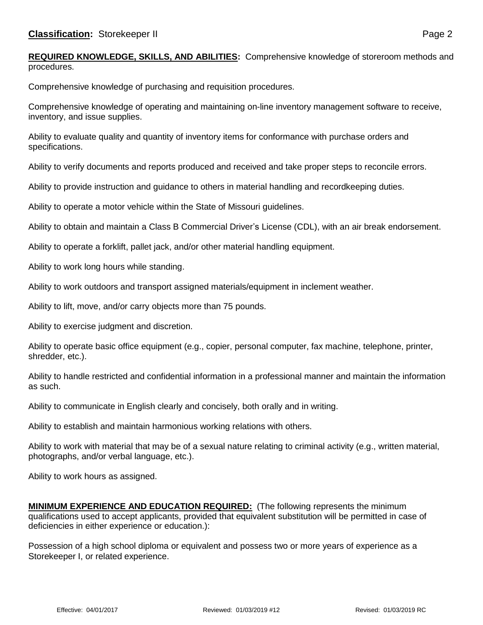**REQUIRED KNOWLEDGE, SKILLS, AND ABILITIES:** Comprehensive knowledge of storeroom methods and procedures.

Comprehensive knowledge of purchasing and requisition procedures.

Comprehensive knowledge of operating and maintaining on-line inventory management software to receive, inventory, and issue supplies.

Ability to evaluate quality and quantity of inventory items for conformance with purchase orders and specifications.

Ability to verify documents and reports produced and received and take proper steps to reconcile errors.

Ability to provide instruction and guidance to others in material handling and recordkeeping duties.

Ability to operate a motor vehicle within the State of Missouri guidelines.

Ability to obtain and maintain a Class B Commercial Driver's License (CDL), with an air break endorsement.

Ability to operate a forklift, pallet jack, and/or other material handling equipment.

Ability to work long hours while standing.

Ability to work outdoors and transport assigned materials/equipment in inclement weather.

Ability to lift, move, and/or carry objects more than 75 pounds.

Ability to exercise judgment and discretion.

Ability to operate basic office equipment (e.g., copier, personal computer, fax machine, telephone, printer, shredder, etc.).

Ability to handle restricted and confidential information in a professional manner and maintain the information as such.

Ability to communicate in English clearly and concisely, both orally and in writing.

Ability to establish and maintain harmonious working relations with others.

Ability to work with material that may be of a sexual nature relating to criminal activity (e.g., written material, photographs, and/or verbal language, etc.).

Ability to work hours as assigned.

**MINIMUM EXPERIENCE AND EDUCATION REQUIRED:** (The following represents the minimum qualifications used to accept applicants, provided that equivalent substitution will be permitted in case of deficiencies in either experience or education.):

Possession of a high school diploma or equivalent and possess two or more years of experience as a Storekeeper I, or related experience.